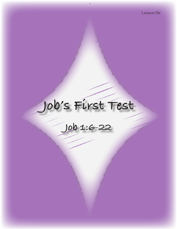# **Job's First Test**

**Job 1:6-22**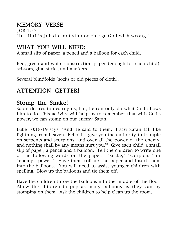# MEMORY VERSE

JOB 1:22 "In all this Job did not sin nor charge God with wrong."

# WHAT YOU WILL NEED:

A small slip of paper, a pencil and a balloon for each child.

Red, green and white construction paper (enough for each child), scissors, glue sticks, and markers.

Several blindfolds (socks or old pieces of cloth).

# ATTENTION GETTER!

# Stomp the Snake!

Satan desires to destroy us; but, he can only do what God allows him to do. This activity will help us to remember that with God's power, we can stomp on our enemy–Satan.

Luke 10:18-19 says, "And He said to them, 'I saw Satan fall like lightning from heaven. Behold, I give you the authority to trample on serpents and scorpions, and over all the power of the enemy, and nothing shall by any means hurt you.'" Give each child a small slip of paper, a pencil and a balloon. Tell the children to write one of the following words on the paper: "snake," "scorpions," or "enemy's power." Have them roll up the paper and insert them into the balloons. You will need to assist younger children with spelling. Blow up the balloons and tie them off.

Have the children throw the balloons into the middle of the floor. Allow the children to pop as many balloons as they can by stomping on them. Ask the children to help clean up the room.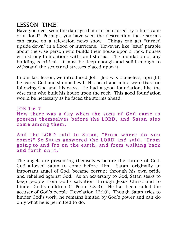# LESSON TIME!

Have you ever seen the damage that can be caused by a hurricane or a flood? Perhaps, you have seen the destruction these storms can cause on a television news show. Things can get "turned upside down" in a flood or hurricane. However, like Jesus' parable about the wise person who builds their house upon a rock, houses with strong foundations withstand storms. The foundation of any building is critical. It must be deep enough and solid enough to withstand the structural stresses placed upon it.

In our last lesson, we introduced Job. Job was blameless, upright; he feared God and shunned evil. His heart and mind were fixed on following God and His ways. He had a good foundation, like the wise man who built his house upon the rock. This good foundation would be necessary as he faced the storms ahead.

 $IOB 1:6-7$ Now there was a day when the sons of God came to present themselves before the LORD, and Satan also came among them.

And the LORD said to Satan, "From where do you come?" So Satan answered the LORD and said, "From going to and fro on the earth, and from walking back and forth on it."

The angels are presenting themselves before the throne of God. God allowed Satan to come before Him. Satan, originally an important angel of God, became corrupt through his own pride and rebelled against God. As an adversary to God, Satan seeks to keep people from God's salvation through Jesus Christ and to hinder God's children (1 Peter 5:8-9). He has been called the accuser of God's people (Revelation 12:10). Though Satan tries to hinder God's work, he remains limited by God's power and can do only what he is permitted to do.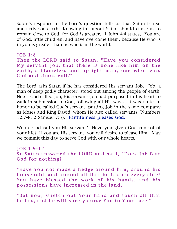Satan's response to the Lord's question tells us that Satan is real and active on earth. Knowing this about Satan should cause us to remain close to God, for God is greater. 1 John 4:4 states, "You are of God, little children, and have overcome them, because He who is in you is greater than he who is in the world."

 $JOB 1:8$ Then the LORD said to Satan, "Have you considered My servant Job, that there is none like him on the earth, a blameless and upright man, one who fears God and shuns evil?"

The Lord asks Satan if he has considered His servant Job. Job, a man of deep godly character, stood out among the people of earth. Note: God called Job, His servant--Job had purposed in his heart to walk in submission to God, following all His ways. It was quite an honor to be called God's servant, putting Job in the same company as Moses and King David, whom He also called servants (Numbers 12:7-8, 2 Samuel 7:5). Faithfulness pleases God.

Would God call you His servant? Have you given God control of your life? If you are His servant, you will desire to please Him. May we commit this day to serve God with our whole hearts.

JOB 1:9-12 So Satan answered the LORD and said, "Does Job fear God for nothing?

"Have You not made a hedge around him, around his hous ehold, and around all that he has on every side? You have blessed the work of his hands, and his possessions have increased in the land.

"But now, stretch out Your hand and touch all that he has, and he will surely curse You to Your face!"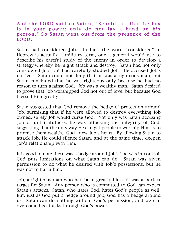#### And the LORD said to Satan, "Behold, all that he has is in your power; only do not lay a hand on his person." So Satan went out from the presence of the LORD.

Satan had considered Job. In fact, the word "considered" in Hebrew is actually a military term, one a general would use to describe his careful study of the enemy in order to develop a strategy whereby he might attack and destroy. Satan had not only considered Job, but had carefully studied Job. He accused Job's motives. Satan could not deny that he was a righteous man, but Satan concluded that he was righteous only because he had no reason to turn against God. Job was a wealthy man. Satan desired to prove that Job worshipped God not out of love, but because God blessed Him greatly.

Satan suggested that God remove the hedge of protection around Job, surmising that if he were allowed to destroy everything Job owned, surely Job would curse God. Not only was Satan accusing Job of unfaithfulness, he was attacking the integrity of God, suggesting that the only way He can get people to worship Him is to promise them wealth. God knew Job's heart. By allowing Satan to attack Job, He could silence Satan, and at the same time, deepen Job's relationship with Him.

It is good to note there was a hedge around Job! God was in control. God puts limitations on what Satan can do. Satan was given permission to do what he desired with Job's possessions, but he was not to harm him.

Job, a righteous man who had been greatly blessed, was a perfect target for Satan. Any person who is committed to God can expect Satan's attacks. Satan, who hates God, hates God's people as well. But, just as God put a hedge around Job, God has a hedge around us. Satan can do nothing without God's permission, and we can overcome his attacks through God's power.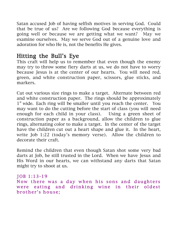Satan accused Job of having selfish motives in serving God. Could that be true of us? Are we following God because everything is going well or because we are getting what we want? May we examine ourselves. May we serve God out of a genuine love and adoration for who He is, not the benefits He gives.

# Hitting the Bull's Eye

This craft will help us to remember that even though the enemy may try to throw some fiery darts at us, we do not have to worry because Jesus is at the center of our hearts. You will need red, green, and white construction paper, scissors, glue sticks, and markers.

Cut out various size rings to make a target. Alternate between red and white construction paper. The rings should be approximately 1" wide. Each ring will be smaller until you reach the center. You may want to do the cutting before the start of class (you will need enough for each child in your class). Using a green sheet of construction paper as a background, allow the children to glue rings, alternating color to make a target. In the center of the target have the children cut out a heart shape and glue it. In the heart, write Job 1:22 (today's memory verse). Allow the children to decorate their craft.

Remind the children that even though Satan shot some very bad darts at Job, he still trusted in the Lord. When we have Jesus and His Word in our hearts, we can withstand any darts that Satan might try to shoot at us.

JOB 1:13-19 Now there was a day when his sons and daughters were eating and drinking wine in their oldest brother's house;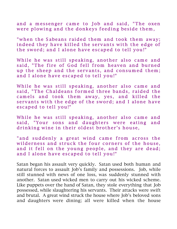and a messenger came to Job and said, "The oxen were plowing and the donkeys feeding beside them,

" when the Sabeans raided them and took them away; indeed they have killed the servants with the edge of the sword; and I alone have escaped to tell you!"

While he was still speaking, another also came and said, "The fire of God fell from heaven and burned up the sheep and the servants, and consumed them; and I alone have escaped to tell you!"

While he was still speaking, another also came and said, "The Chaldeans formed three bands, raided the camels and took them away, yes, and killed the servants with the edge of the sword; and I alone have escaped to tell you!"

While he was still speaking, another also came and said, "Your sons and daughters were eating and drinking wine in their oldest brother's house,

"and suddenly a great wind came from across the wilderness and struck the four corners of the house, and it fell on the young people, and they are dead; and I alone have escaped to tell you!"

Satan began his assault very quickly. Satan used both human and natural forces to assault Job's family and possessions. Job, while still stunned with news of one loss, was suddenly stunned with another. Satan used wicked men to carry out his wicked scheme. Like puppets over the hand of Satan, they stole everything that Job possessed, while slaughtering his servants. Their attacks were swift and brutal. A great wind struck the house where Job's beloved sons and daughters were dining; all were killed when the house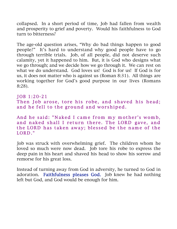collapsed. In a short period of time, Job had fallen from wealth and prosperity to grief and poverty. Would his faithfulness to God turn to bitterness?

The age-old question arises, "Why do bad things happen to good people?" It's hard to understand why good people have to go through terrible trials. Job, of all people, did not deserve such calamity, yet it happened to him. But, it is God who designs what we go through; and we decide how we go through it. We can rest on what we do understand. God loves us! God is for us! If God is for us, it does not matter who is against us (Roman 8:31). All things are working together for God's good purpose in our lives (Romans 8:28).

#### JOB 1:20-21

```
Then Job arose, tore his robe, and shaved his head;
and he fell to the ground and worshiped.
```
And he said: "Naked I came from my mother's womb, and naked shall I return there. The LORD gave, and the LORD has taken away; blessed be the name of the LORD."

Job was struck with overwhelming grief. The children whom he loved so much were now dead. Job tore his robe to express the deep pain in his heart and shaved his head to show his sorrow and remorse for his great loss.

Instead of turning away from God in adversity, he turned to God in adoration. Faithfulness pleases God. Job knew he had nothing left but God, and God would be enough for him.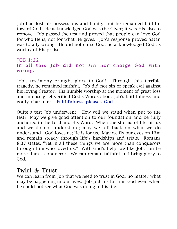Job had lost his possessions and family, but he remained faithful toward God. He acknowledged God was the Giver; it was His also to remove. Job passed the test and proved that people can love God for who He is, not for what He gives. Job's response proved Satan was totally wrong. He did not curse God; he acknowledged God as worthy of His praise.

### JOB 1:22 In all this Job did not sin nor charge God with w rong.

Job's testimony brought glory to God! Through this terrible tragedy, he remained faithful. Job did not sin or speak evil against his loving Creator. His humble worship at the moment of great loss and intense grief verified God's Words about Job's faithfulness and godly character. Faithfulness pleases God.

Quite a test Job underwent! How will we stand when put to the test? May we give good attention to our foundation and be fully anchored in the Lord and His Word. When the storms of life hit us and we do not understand; may we fall back on what we do understand—God loves us; He is for us. May we fix our eyes on Him and remain steady through life's hardships and trials. Romans 8:37 states, "Yet in all these things we are more than conquerors through Him who loved us." With God's help, we like Job, can be more than a conqueror! We can remain faithful and bring glory to God.

## Twirl & Trust

We can learn from Job that we need to trust in God, no matter what may be happening in our lives. Job put his faith in God even when he could not see what God was doing in his life.